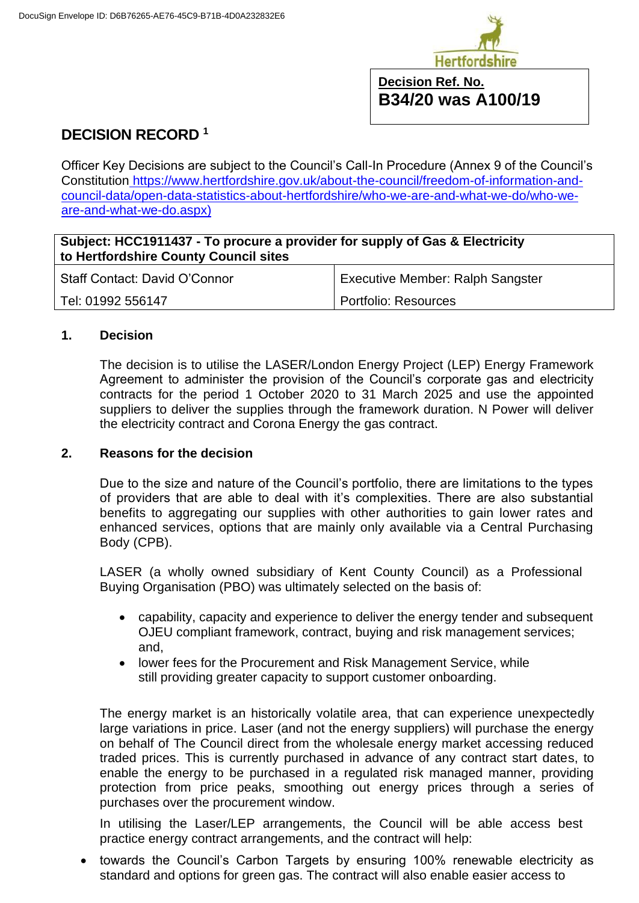

## **Decision Ref. No. B34/20 was A100/19**

# **DECISION RECORD <sup>1</sup>**

Officer Key Decisions are subject to the Council's Call-In Procedure (Annex 9 of the Council's Constitution [https://www.hertfordshire.gov.uk/about-the-council/freedom-of-information-and](https://www.hertfordshire.gov.uk/about-the-council/freedom-of-information-and-council-data/open-data-statistics-about-hertfordshire/who-we-are-and-what-we-do/who-we-are-and-what-we-do.aspx)[council-data/open-data-statistics-about-hertfordshire/who-we-are-and-what-we-do/who-we](https://www.hertfordshire.gov.uk/about-the-council/freedom-of-information-and-council-data/open-data-statistics-about-hertfordshire/who-we-are-and-what-we-do/who-we-are-and-what-we-do.aspx)[are-and-what-we-do.aspx\)](https://www.hertfordshire.gov.uk/about-the-council/freedom-of-information-and-council-data/open-data-statistics-about-hertfordshire/who-we-are-and-what-we-do/who-we-are-and-what-we-do.aspx)

## **Subject: HCC1911437 - To procure a provider for supply of Gas & Electricity to Hertfordshire County Council sites**

| Staff Contact: David O'Connor | Executive Member: Ralph Sangster |
|-------------------------------|----------------------------------|
| Tel: 01992 556147             | Portfolio: Resources             |

## **1. Decision**

The decision is to utilise the LASER/London Energy Project (LEP) Energy Framework Agreement to administer the provision of the Council's corporate gas and electricity contracts for the period 1 October 2020 to 31 March 2025 and use the appointed suppliers to deliver the supplies through the framework duration. N Power will deliver the electricity contract and Corona Energy the gas contract.

## **2. Reasons for the decision**

Due to the size and nature of the Council's portfolio, there are limitations to the types of providers that are able to deal with it's complexities. There are also substantial benefits to aggregating our supplies with other authorities to gain lower rates and enhanced services, options that are mainly only available via a Central Purchasing Body (CPB).

LASER (a wholly owned subsidiary of Kent County Council) as a Professional Buying Organisation (PBO) was ultimately selected on the basis of:

- capability, capacity and experience to deliver the energy tender and subsequent OJEU compliant framework, contract, buying and risk management services; and,
- lower fees for the Procurement and Risk Management Service, while still providing greater capacity to support customer onboarding.

The energy market is an historically volatile area, that can experience unexpectedly large variations in price. Laser (and not the energy suppliers) will purchase the energy on behalf of The Council direct from the wholesale energy market accessing reduced traded prices. This is currently purchased in advance of any contract start dates, to enable the energy to be purchased in a regulated risk managed manner, providing protection from price peaks, smoothing out energy prices through a series of purchases over the procurement window.

In utilising the Laser/LEP arrangements, the Council will be able access best practice energy contract arrangements, and the contract will help:

• towards the Council's Carbon Targets by ensuring 100% renewable electricity as standard and options for green gas. The contract will also enable easier access to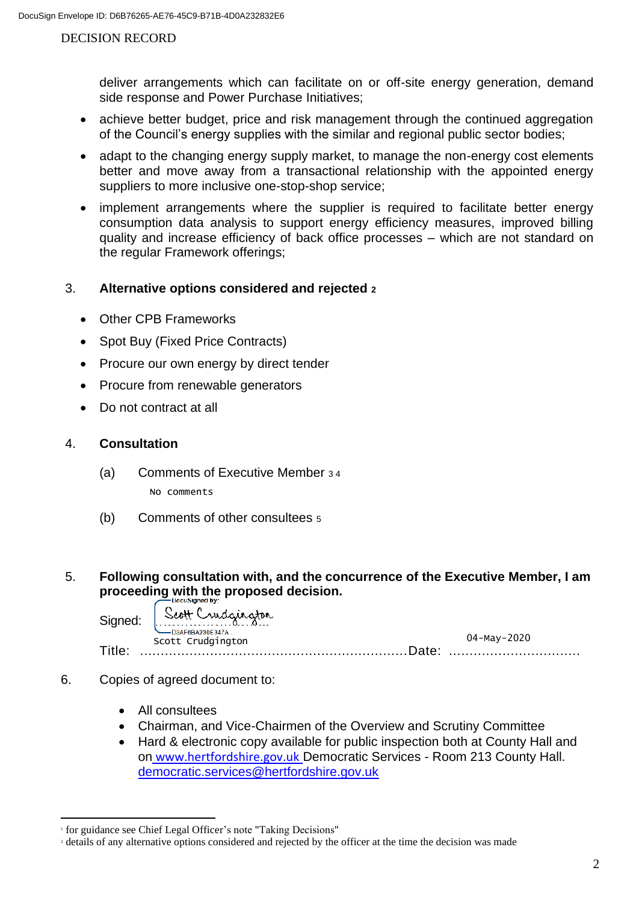#### DECISION RECORD

deliver arrangements which can facilitate on or off-site energy generation, demand side response and Power Purchase Initiatives;

- achieve better budget, price and risk management through the continued aggregation of the Council's energy supplies with the similar and regional public sector bodies;
- adapt to the changing energy supply market, to manage the non-energy cost elements better and move away from a transactional relationship with the appointed energy suppliers to more inclusive one-stop-shop service;
- implement arrangements where the supplier is required to facilitate better energy consumption data analysis to support energy efficiency measures, improved billing quality and increase efficiency of back office processes – which are not standard on the regular Framework offerings;

## 3. **Alternative options considered and rejected <sup>2</sup>**

- Other CPB Frameworks
- Spot Buy (Fixed Price Contracts)
- Procure our own energy by direct tender
- Procure from renewable generators
- Do not contract at all

#### 4. **Consultation**

- (a) Comments of Executive Member 3 4 No comments
- (b) Comments of other consultees <sup>5</sup>

## 5. **Following consultation with, and the concurrence of the Executive Member, I am proceeding with the proposed decision.**

|       | Signed: Scott Crudgington<br>-D3AF6BA230E347A |             |
|-------|-----------------------------------------------|-------------|
|       | Scott Crudgington                             | 04-May-2020 |
| Title | Date: ⊺                                       |             |

- 6. Copies of agreed document to:
	- All consultees
	- Chairman, and Vice-Chairmen of the Overview and Scrutiny Committee
	- Hard & electronic copy available for public inspection both at County Hall and on [www.hertfordshire.gov.uk](https://www.hertfordshire.gov.uk/about-the-council/freedom-of-information-and-council-data/open-data-statistics-about-hertfordshire/how-we-make-decisions/decisions.aspx) Democratic Services - Room 213 County Hall. [democratic.services@hertfordshire.gov.uk](mailto:democratic.services@hertfordshire.gov.uk)

<sup>1</sup> for guidance see Chief Legal Officer's note "Taking Decisions"

<sup>2</sup> details of any alternative options considered and rejected by the officer at the time the decision was made